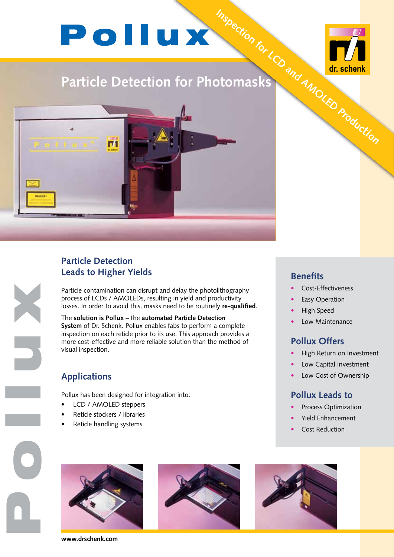

# **Particle Detection for Photomasks**



## **Particle Detection Leads to Higher Yields**

Particle contamination can disrupt and delay the photolithography process of LCDs / AMOLEDs, resulting in yield and productivity losses. In order to avoid this, masks need to be routinely **re-qualified**.

The **solution is Pollux** – the **automated Particle Detection System** of Dr. Schenk. Pollux enables fabs to perform a complete inspection on each reticle prior to its use. This approach provides a more cost-effective and more reliable solution than the method of visual inspection.

# **Applications**

Pollux N

Pollux has been designed for integration into:

- LCD / AMOLED steppers
- Reticle stockers / libraries
- Reticle handling systems





# **Benefits**

- Cost-Effectiveness
- **Easy Operation**
- **High Speed**
- Low Maintenance

# **Pollux Offers**

- High Return on Investment
- Low Capital Investment
- Low Cost of Ownership

### **Pollux Leads to**

- Process Optimization
- Yield Fnhancement
- **Cost Reduction**



**www.drschenk.com**